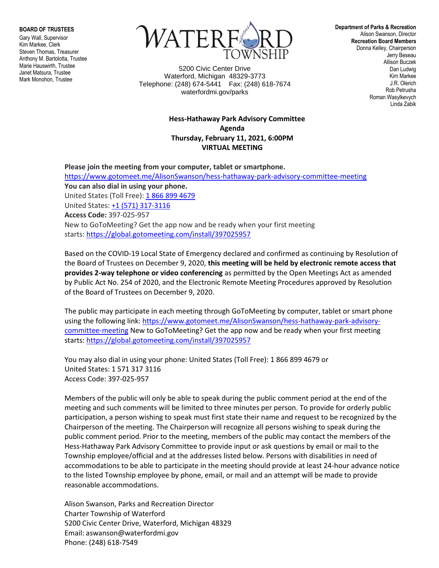**BOARD OF TRUSTEES**

Gary Wall, Supervisor Kim Markee, Clerk Steven Thomas, Treasurer Anthony M. Bartolotta, Trustee Marie Hauswirth, Trustee Janet Matsura, Trustee Mark Monohon, Trustee



5200 Civic Center Drive Waterford, Michigan 48329-3773 Telephone: (248) 674-5441 Fax: (248) 618-7674 waterfordmi.gov/parks

## **Hess-Hathaway Park Advisory Committee Agenda Thursday, February 11, 2021, 6:00PM VIRTUAL MEETING**

**Please join the meeting from your computer, tablet or smartphone.** <https://www.gotomeet.me/AlisonSwanson/hess-hathaway-park-advisory-committee-meeting> **You can also dial in using your phone.** United States (Toll Free): [1 866 899 4679](tel:+18668994679,,397025957) United States: [+1 \(571\) 317-3116](tel:+15713173116,,397025957) **Access Code:** 397-025-957 New to GoToMeeting? Get the app now and be ready when your first meeting starts: <https://global.gotomeeting.com/install/397025957>

Based on the COVID-19 Local State of Emergency declared and confirmed as continuing by Resolution of the Board of Trustees on December 9, 2020, **this meeting will be held by electronic remote access that provides 2-way telephone or video conferencing** as permitted by the Open Meetings Act as amended by Public Act No. 254 of 2020, and the Electronic Remote Meeting Procedures approved by Resolution of the Board of Trustees on December 9, 2020.

The public may participate in each meeting through GoToMeeting by computer, tablet or smart phone using the following link[: https://www.gotomeet.me/AlisonSwanson/hess-hathaway-park-advisory](https://www.gotomeet.me/AlisonSwanson/hess-hathaway-park-advisory-committee-meeting)[committee-meeting](https://www.gotomeet.me/AlisonSwanson/hess-hathaway-park-advisory-committee-meeting) New to GoToMeeting? Get the app now and be ready when your first meeting starts: <https://global.gotomeeting.com/install/397025957>

You may also dial in using your phone: United States (Toll Free): 1 866 899 4679 or United States: 1 571 317 3116 Access Code: 397-025-957

Members of the public will only be able to speak during the public comment period at the end of the meeting and such comments will be limited to three minutes per person. To provide for orderly public participation, a person wishing to speak must first state their name and request to be recognized by the Chairperson of the meeting. The Chairperson will recognize all persons wishing to speak during the public comment period. Prior to the meeting, members of the public may contact the members of the Hess-Hathaway Park Advisory Committee to provide input or ask questions by email or mail to the Township employee/official and at the addresses listed below. Persons with disabilities in need of accommodations to be able to participate in the meeting should provide at least 24-hour advance notice to the listed Township employee by phone, email, or mail and an attempt will be made to provide reasonable accommodations.

Alison Swanson, Parks and Recreation Director Charter Township of Waterford 5200 Civic Center Drive, Waterford, Michigan 48329 Email: aswanson@waterfordmi.gov Phone: (248) 618-7549

**Department of Parks & Recreation** Alison Swanson, Director **Recreation Board Members** Donna Kelley, Chairperson Jerry Beseau Allison Buczek Dan Ludwig Kim Markee J.R. Olerich Rob Petrusha Roman Wasylkevych Linda Zabik